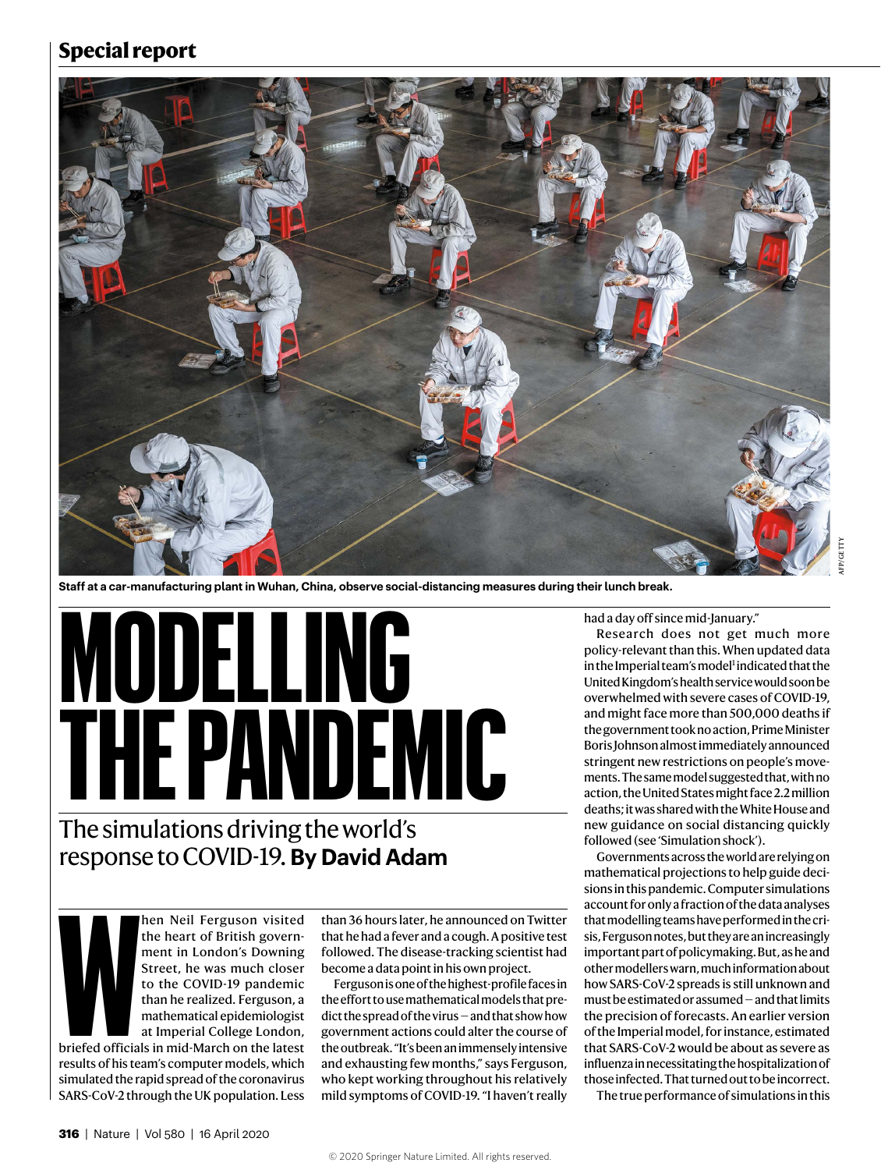### **Special report**



**Staff at a car-manufacturing plant in Wuhan, China, observe social-distancing measures during their lunch break.** 

# **MODELLING THE PANDEMIC**

# The simulations driving the world's response to COVID-19. **By David Adam**

hen Neil Ferguson visited the heart of British government in London's Downing Street, he was much closer to the COVID-19 pandemic than he realized. Ferguson, a mathematical epidemiologist at Imperial College London,

**WEIGHTER** briefed officials in mid-March on the latest results of his team's computer models, which simulated the rapid spread of the coronavirus SARS-CoV-2 through the UK population. Less

than 36 hours later, he announced on Twitter that he had a fever and a cough. A positive test followed. The disease-tracking scientist had become a data point in his own project.

Ferguson is one of the highest-profile faces in the effort to use mathematical models that predict the spread of the virus — and that show how government actions could alter the course of the outbreak. "It's been an immensely intensive and exhausting few months," says Ferguson, who kept working throughout his relatively mild symptoms of COVID-19. "I haven't really

had a day off since mid-January."

Research does not get much more policy-relevant than this. When updated data in the Imperial team's model<sup>1</sup> indicated that the United Kingdom's health service would soon be overwhelmed with severe cases of COVID-19, and might face more than 500,000 deaths if the government took no action, Prime Minister Boris Johnson almost immediately announced stringent new restrictions on people's movements. The same model suggested that, with no action, the United States might face 2.2 million deaths; it was shared with the White House and new guidance on social distancing quickly followed (see 'Simulation shock').

Governments across the world are relying on mathematical projections to help guide decisions in this pandemic. Computer simulations account for only a fraction of the data analyses that modelling teams have performed in the crisis, Ferguson notes, but they are an increasingly important part of policymaking. But, as he and other modellers warn, much information about how SARS-CoV-2 spreads is still unknown and must be estimated or assumed — and that limits the precision of forecasts. An earlier version of the Imperial model, for instance, estimated that SARS-CoV-2 would be about as severe as influenza in necessitating the hospitalization of those infected. That turned out to be incorrect.

The true performance of simulations in this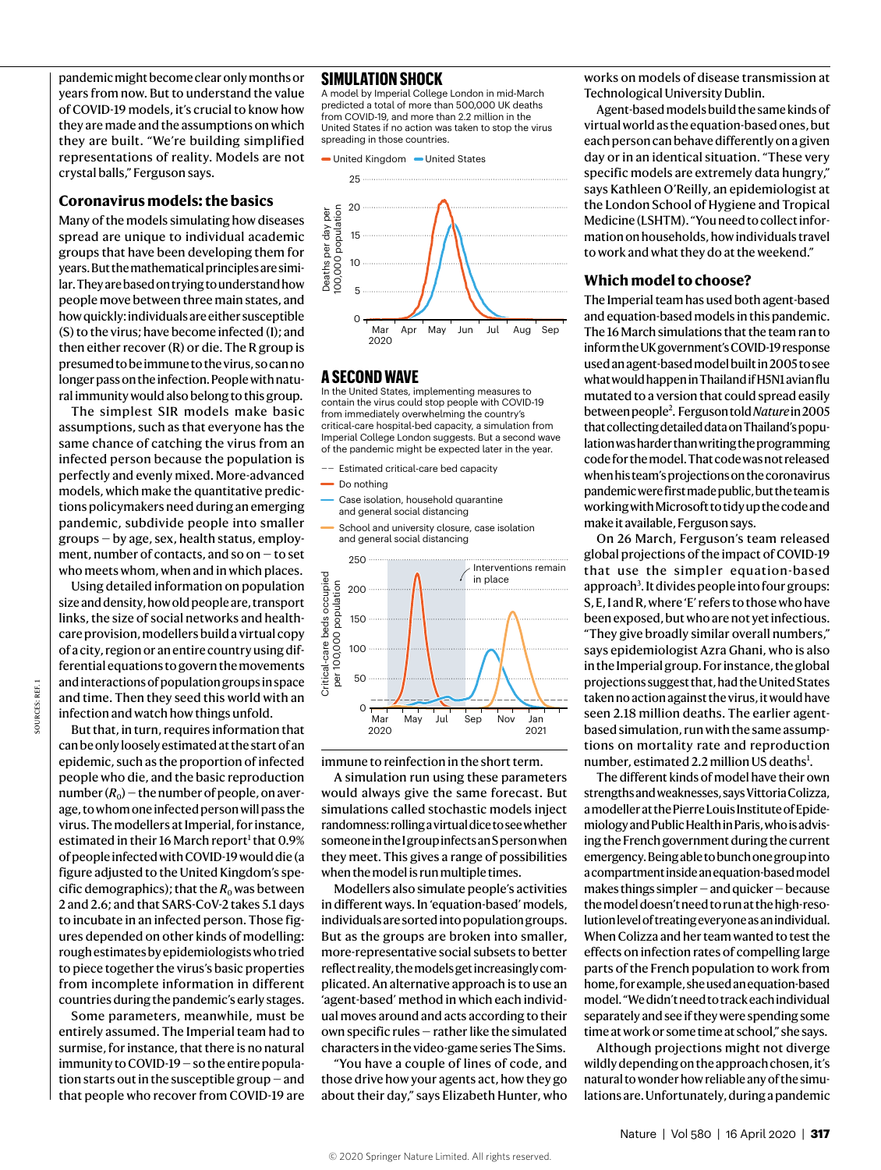pandemic might become clear only months or years from now. But to understand the value of COVID-19 models, it's crucial to know how they are made and the assumptions on which they are built. "We're building simplified representations of reality. Models are not crystal balls," Ferguson says.

#### **Coronavirus models: the basics**

Many of the models simulating how diseases spread are unique to individual academic groups that have been developing them for years. But the mathematical principles are similar. They are based on trying to understand how people move between three main states, and how quickly: individuals are either susceptible (S) to the virus; have become infected (I); and then either recover (R) or die. The R group is presumed to be immune to the virus, so can no longer pass on the infection. People with natural immunity would also belong to this group.

The simplest SIR models make basic assumptions, such as that everyone has the same chance of catching the virus from an infected person because the population is perfectly and evenly mixed. More-advanced models, which make the quantitative predictions policymakers need during an emerging pandemic, subdivide people into smaller groups — by age, sex, health status, employment, number of contacts, and so on — to set who meets whom, when and in which places.

Using detailed information on population size and density, how old people are, transport links, the size of social networks and healthcare provision, modellers build a virtual copy of a city, region or an entire country using differential equations to govern the movements and interactions of population groups in space and time. Then they seed this world with an infection and watch how things unfold.

SOURCES: REF. 1

Ë **OLIBEES:** 

But that, in turn, requires information that can be only loosely estimated at the start of an epidemic, such as the proportion of infected people who die, and the basic reproduction number  $(R_0)$  – the number of people, on average, to whom one infected person will pass the virus. The modellers at Imperial, for instance, estimated in their 16 March report<sup>1</sup> that 0.9% of people infected with COVID-19 would die (a figure adjusted to the United Kingdom's specific demographics); that the  $R_0$  was between 2 and 2.6; and that SARS-CoV-2 takes 5.1 days to incubate in an infected person. Those figures depended on other kinds of modelling: rough estimates by epidemiologists who tried to piece together the virus's basic properties from incomplete information in different countries during the pandemic's early stages.

Some parameters, meanwhile, must be entirely assumed. The Imperial team had to surmise, for instance, that there is no natural immunity to COVID-19 — so the entire population starts out in the susceptible group — and that people who recover from COVID-19 are

#### **SIMULATION SHOCK**

A model by Imperial College London in mid-March predicted a total of more than 500,000 UK deaths from COVID-19, and more than 2.2 million in the United States if no action was taken to stop the virus spreading in those countries





#### **A SECOND WAVE**

In the United States, implementing measures to contain the virus could stop people with COVID-19 from immediately overwhelming the country's critical-care hospital-bed capacity, a simulation from Imperial College London suggests. But a second wave of the pandemic might be expected later in the year.

- Estimated critical-care bed capacity
- $\overline{\phantom{a}}$  Do nothing
- Case isolation, household quarantine and general social distancing
- School and university closure, case isolation and general social distancing



immune to reinfection in the short term.

A simulation run using these parameters would always give the same forecast. But simulations called stochastic models inject randomness: rolling a virtual dice to see whether someone in the I group infects an S person when they meet. This gives a range of possibilities when the model is run multiple times.

Modellers also simulate people's activities in different ways. In 'equation-based' models, individuals are sorted into population groups. But as the groups are broken into smaller, more-representative social subsets to better reflect reality, the models get increasingly complicated. An alternative approach is to use an 'agent-based' method in which each individual moves around and acts according to their own specific rules — rather like the simulated characters in the video-game series The Sims.

"You have a couple of lines of code, and those drive how your agents act, how they go about their day," says Elizabeth Hunter, who works on models of disease transmission at Technological University Dublin.

Agent-based models build the same kinds of virtual world as the equation-based ones, but each person can behave differently on a given day or in an identical situation. "These very specific models are extremely data hungry," says Kathleen O'Reilly, an epidemiologist at the London School of Hygiene and Tropical Medicine (LSHTM). "You need to collect information on households, how individuals travel to work and what they do at the weekend."

#### **Which model to choose?**

The Imperial team has used both agent-based and equation-based models in this pandemic. The 16 March simulations that the team ran to inform the UK government's COVID-19 response used an agent-based model built in 2005 to see what would happen in Thailand if H5N1 avian flu mutated to a version that could spread easily between people2 . Ferguson told *Nature* in 2005 that collecting detailed data on Thailand's population was harder than writing the programming code for the model. That code was not released when his team's projections on the coronavirus pandemic were first made public, but the team is working with Microsoft to tidy up the code and make it available, Ferguson says.

On 26 March, Ferguson's team released global projections of the impact of COVID-19 that use the simpler equation-based approach<sup>3</sup>. It divides people into four groups: S, E, I and R, where 'E' refers to those who have been exposed, but who are not yet infectious. "They give broadly similar overall numbers," says epidemiologist Azra Ghani, who is also in the Imperial group. For instance, the global projections suggest that, had the United States taken no action against the virus, it would have seen 2.18 million deaths. The earlier agentbased simulation, run with the same assumptions on mortality rate and reproduction number, estimated 2.2 million US deaths<sup>1</sup>.

The different kinds of model have their own strengths and weaknesses, says Vittoria Colizza, a modeller at the Pierre Louis Institute of Epidemiology and Public Health in Paris, who is advising the French government during the current emergency. Being able to bunch one group into a compartment inside an equation-based model makes things simpler — and quicker — because the model doesn't need to run at the high-resolution level of treating everyone as an individual. When Colizza and her team wanted to test the effects on infection rates of compelling large parts of the French population to work from home, for example, she used an equation-based model. "We didn't need to track each individual separately and see if they were spending some time at work or some time at school," she says.

Although projections might not diverge wildly depending on the approach chosen, it's natural to wonder how reliable any of the simulations are. Unfortunately, during a pandemic